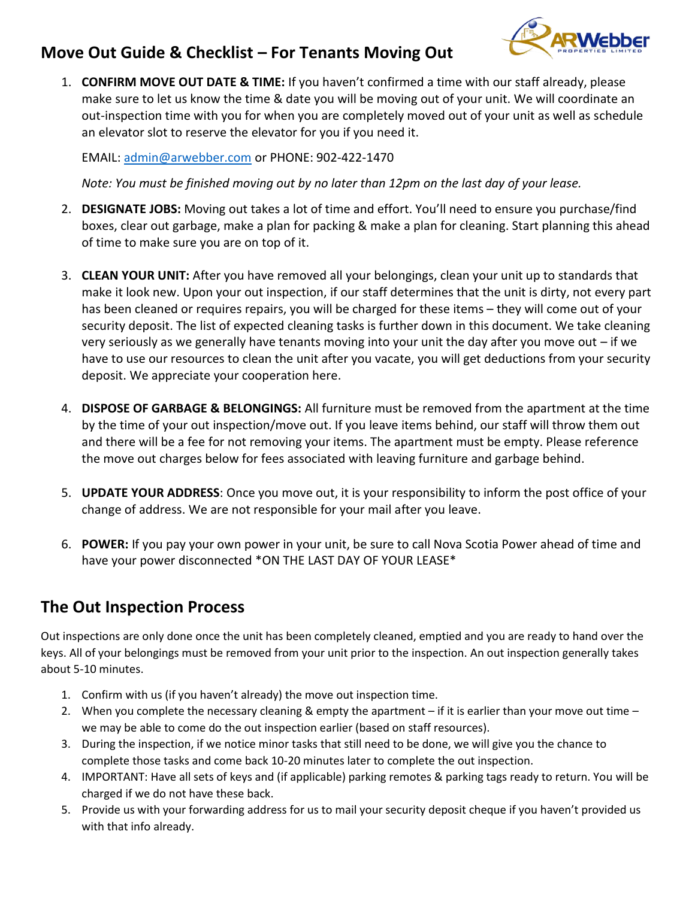## **Move Out Guide & Checklist – For Tenants Moving Out**

1. **CONFIRM MOVE OUT DATE & TIME:** If you haven't confirmed a time with our staff already, please make sure to let us know the time & date you will be moving out of your unit. We will coordinate an out-inspection time with you for when you are completely moved out of your unit as well as schedule an elevator slot to reserve the elevator for you if you need it.

EMAIL: [admin@arwebber.com](mailto:admin@arwebber.com) or PHONE: 902-422-1470

*Note: You must be finished moving out by no later than 12pm on the last day of your lease.*

- 2. **DESIGNATE JOBS:** Moving out takes a lot of time and effort. You'll need to ensure you purchase/find boxes, clear out garbage, make a plan for packing & make a plan for cleaning. Start planning this ahead of time to make sure you are on top of it.
- 3. **CLEAN YOUR UNIT:** After you have removed all your belongings, clean your unit up to standards that make it look new. Upon your out inspection, if our staff determines that the unit is dirty, not every part has been cleaned or requires repairs, you will be charged for these items – they will come out of your security deposit. The list of expected cleaning tasks is further down in this document. We take cleaning very seriously as we generally have tenants moving into your unit the day after you move out – if we have to use our resources to clean the unit after you vacate, you will get deductions from your security deposit. We appreciate your cooperation here.
- 4. **DISPOSE OF GARBAGE & BELONGINGS:** All furniture must be removed from the apartment at the time by the time of your out inspection/move out. If you leave items behind, our staff will throw them out and there will be a fee for not removing your items. The apartment must be empty. Please reference the move out charges below for fees associated with leaving furniture and garbage behind.
- 5. **UPDATE YOUR ADDRESS**: Once you move out, it is your responsibility to inform the post office of your change of address. We are not responsible for your mail after you leave.
- 6. **POWER:** If you pay your own power in your unit, be sure to call Nova Scotia Power ahead of time and have your power disconnected \*ON THE LAST DAY OF YOUR LEASE\*

## **The Out Inspection Process**

Out inspections are only done once the unit has been completely cleaned, emptied and you are ready to hand over the keys. All of your belongings must be removed from your unit prior to the inspection. An out inspection generally takes about 5-10 minutes.

- 1. Confirm with us (if you haven't already) the move out inspection time.
- 2. When you complete the necessary cleaning & empty the apartment if it is earlier than your move out time we may be able to come do the out inspection earlier (based on staff resources).
- 3. During the inspection, if we notice minor tasks that still need to be done, we will give you the chance to complete those tasks and come back 10-20 minutes later to complete the out inspection.
- 4. IMPORTANT: Have all sets of keys and (if applicable) parking remotes & parking tags ready to return. You will be charged if we do not have these back.
- 5. Provide us with your forwarding address for us to mail your security deposit cheque if you haven't provided us with that info already.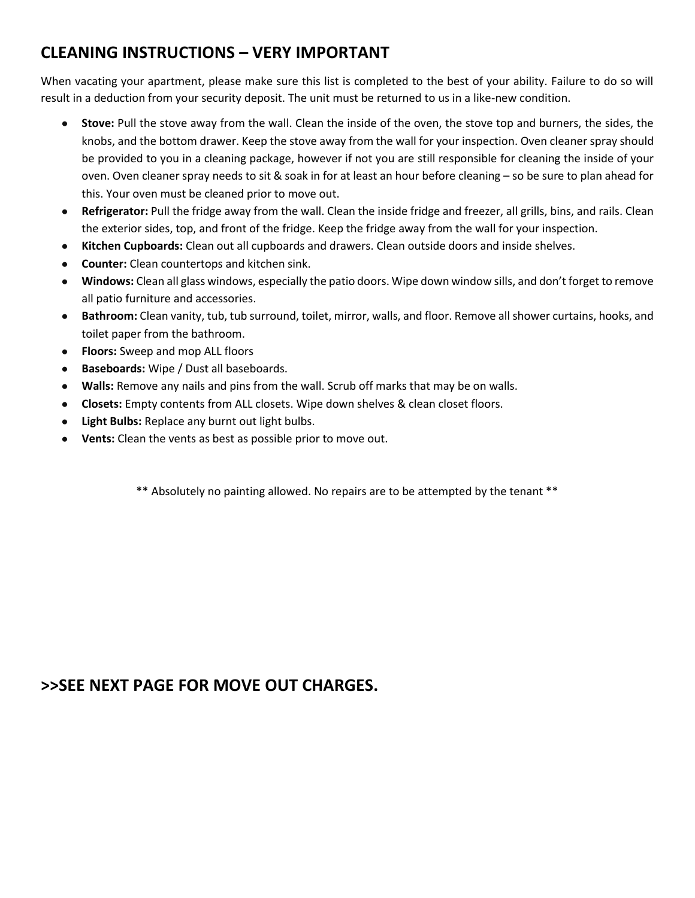# **CLEANING INSTRUCTIONS – VERY IMPORTANT**

When vacating your apartment, please make sure this list is completed to the best of your ability. Failure to do so will result in a deduction from your security deposit. The unit must be returned to us in a like-new condition.

- **Stove:** Pull the stove away from the wall. Clean the inside of the oven, the stove top and burners, the sides, the knobs, and the bottom drawer. Keep the stove away from the wall for your inspection. Oven cleaner spray should be provided to you in a cleaning package, however if not you are still responsible for cleaning the inside of your oven. Oven cleaner spray needs to sit & soak in for at least an hour before cleaning – so be sure to plan ahead for this. Your oven must be cleaned prior to move out.
- **Refrigerator:** Pull the fridge away from the wall. Clean the inside fridge and freezer, all grills, bins, and rails. Clean the exterior sides, top, and front of the fridge. Keep the fridge away from the wall for your inspection.
- **Kitchen Cupboards:** Clean out all cupboards and drawers. Clean outside doors and inside shelves.
- **Counter:** Clean countertops and kitchen sink.
- **Windows:** Clean all glass windows, especially the patio doors. Wipe down window sills, and don't forget to remove all patio furniture and accessories.
- **Bathroom:** Clean vanity, tub, tub surround, toilet, mirror, walls, and floor. Remove all shower curtains, hooks, and toilet paper from the bathroom.
- **Floors:** Sweep and mop ALL floors
- Baseboards: Wipe / Dust all baseboards.
- **Walls:** Remove any nails and pins from the wall. Scrub off marks that may be on walls.
- **Closets:** Empty contents from ALL closets. Wipe down shelves & clean closet floors.
- **Light Bulbs:** Replace any burnt out light bulbs.
- **Vents:** Clean the vents as best as possible prior to move out.

\*\* Absolutely no painting allowed. No repairs are to be attempted by the tenant \*\*

## **>>SEE NEXT PAGE FOR MOVE OUT CHARGES.**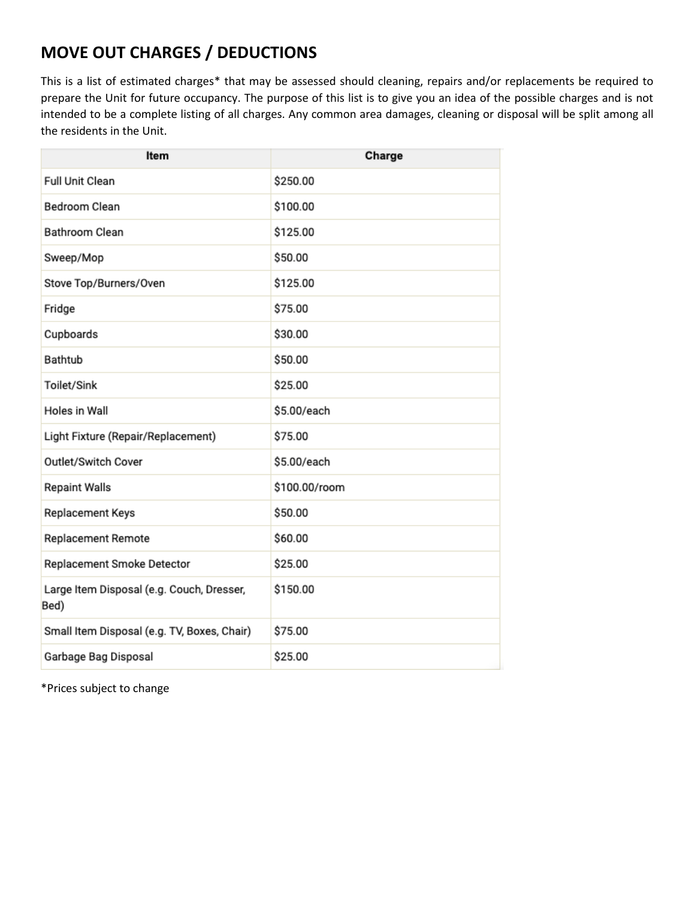# **MOVE OUT CHARGES / DEDUCTIONS**

This is a list of estimated charges\* that may be assessed should cleaning, repairs and/or replacements be required to prepare the Unit for future occupancy. The purpose of this list is to give you an idea of the possible charges and is not intended to be a complete listing of all charges. Any common area damages, cleaning or disposal will be split among all the residents in the Unit.

| Item                                              | Charge        |
|---------------------------------------------------|---------------|
| <b>Full Unit Clean</b>                            | \$250.00      |
| <b>Bedroom Clean</b>                              | \$100.00      |
| Bathroom Clean                                    | \$125.00      |
| Sweep/Mop                                         | \$50.00       |
| Stove Top/Burners/Oven                            | \$125.00      |
| Fridge                                            | \$75.00       |
| Cupboards                                         | \$30.00       |
| Bathtub                                           | \$50.00       |
| Toilet/Sink                                       | \$25.00       |
| Holes in Wall                                     | \$5.00/each   |
| Light Fixture (Repair/Replacement)                | \$75.00       |
| Outlet/Switch Cover                               | \$5.00/each   |
| <b>Repaint Walls</b>                              | \$100.00/room |
| Replacement Keys                                  | \$50.00       |
| <b>Replacement Remote</b>                         | \$60.00       |
| Replacement Smoke Detector                        | \$25.00       |
| Large Item Disposal (e.g. Couch, Dresser,<br>Bed) | \$150.00      |
| Small Item Disposal (e.g. TV, Boxes, Chair)       | \$75.00       |
| Garbage Bag Disposal                              | \$25.00       |

\*Prices subject to change